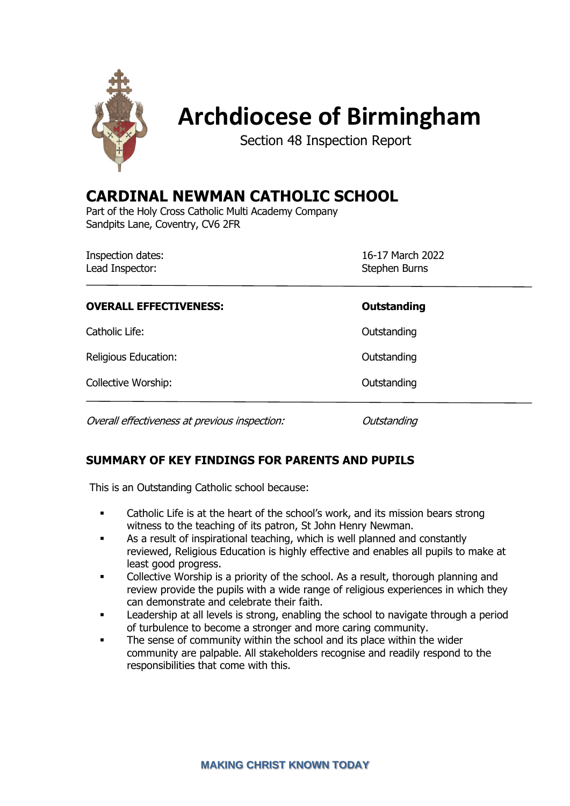

# **Archdiocese of Birmingham**

Section 48 Inspection Report

# **CARDINAL NEWMAN CATHOLIC SCHOOL**

Part of the Holy Cross Catholic Multi Academy Company Sandpits Lane, Coventry, CV6 2FR

| <b>Inspection dates:</b><br>Lead Inspector:   | 16-17 March 2022<br>Stephen Burns |  |
|-----------------------------------------------|-----------------------------------|--|
| <b>OVERALL EFFECTIVENESS:</b>                 | <b>Outstanding</b>                |  |
| Catholic Life:                                | Outstanding                       |  |
| Religious Education:                          | Outstanding                       |  |
| Collective Worship:                           | Outstanding                       |  |
| Overall effectiveness at previous inspection: | Outstanding                       |  |

## **SUMMARY OF KEY FINDINGS FOR PARENTS AND PUPILS**

This is an Outstanding Catholic school because:

- **•** Catholic Life is at the heart of the school's work, and its mission bears strong witness to the teaching of its patron, St John Henry Newman.
- As a result of inspirational teaching, which is well planned and constantly reviewed, Religious Education is highly effective and enables all pupils to make at least good progress.
- Collective Worship is a priority of the school. As a result, thorough planning and review provide the pupils with a wide range of religious experiences in which they can demonstrate and celebrate their faith.
- Leadership at all levels is strong, enabling the school to navigate through a period of turbulence to become a stronger and more caring community.
- The sense of community within the school and its place within the wider community are palpable. All stakeholders recognise and readily respond to the responsibilities that come with this.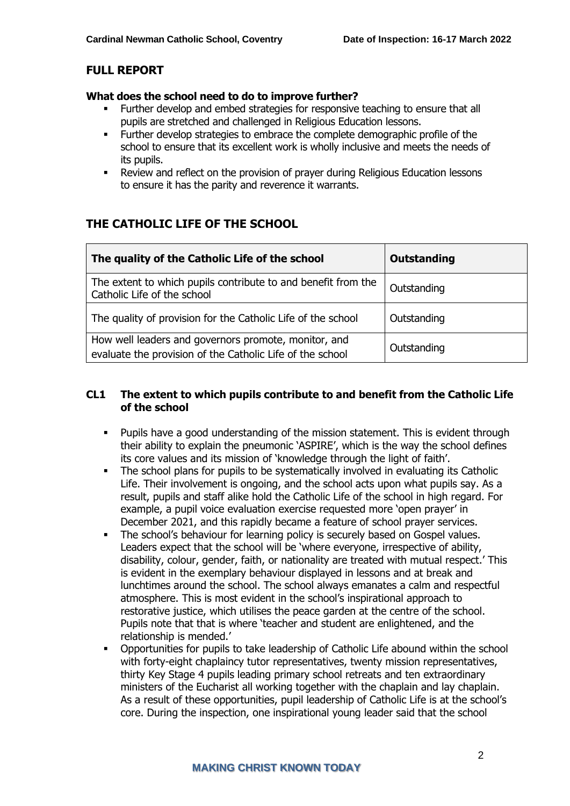#### **FULL REPORT**

#### **What does the school need to do to improve further?**

- Further develop and embed strategies for responsive teaching to ensure that all pupils are stretched and challenged in Religious Education lessons.
- Further develop strategies to embrace the complete demographic profile of the school to ensure that its excellent work is wholly inclusive and meets the needs of its pupils.
- Review and reflect on the provision of prayer during Religious Education lessons to ensure it has the parity and reverence it warrants.

# **THE CATHOLIC LIFE OF THE SCHOOL**

| The quality of the Catholic Life of the school                                                                    | <b>Outstanding</b> |
|-------------------------------------------------------------------------------------------------------------------|--------------------|
| The extent to which pupils contribute to and benefit from the<br>Catholic Life of the school                      | Outstanding        |
| The quality of provision for the Catholic Life of the school                                                      | Outstanding        |
| How well leaders and governors promote, monitor, and<br>evaluate the provision of the Catholic Life of the school | Outstanding        |

#### **CL1 The extent to which pupils contribute to and benefit from the Catholic Life of the school**

- Pupils have a good understanding of the mission statement. This is evident through their ability to explain the pneumonic 'ASPIRE', which is the way the school defines its core values and its mission of 'knowledge through the light of faith'.
- **•** The school plans for pupils to be systematically involved in evaluating its Catholic Life. Their involvement is ongoing, and the school acts upon what pupils say. As a result, pupils and staff alike hold the Catholic Life of the school in high regard. For example, a pupil voice evaluation exercise requested more 'open prayer' in December 2021, and this rapidly became a feature of school prayer services.
- The school's behaviour for learning policy is securely based on Gospel values. Leaders expect that the school will be 'where everyone, irrespective of ability, disability, colour, gender, faith, or nationality are treated with mutual respect.' This is evident in the exemplary behaviour displayed in lessons and at break and lunchtimes around the school. The school always emanates a calm and respectful atmosphere. This is most evident in the school's inspirational approach to restorative justice, which utilises the peace garden at the centre of the school. Pupils note that that is where 'teacher and student are enlightened, and the relationship is mended.'
- **•** Opportunities for pupils to take leadership of Catholic Life abound within the school with forty-eight chaplaincy tutor representatives, twenty mission representatives, thirty Key Stage 4 pupils leading primary school retreats and ten extraordinary ministers of the Eucharist all working together with the chaplain and lay chaplain. As a result of these opportunities, pupil leadership of Catholic Life is at the school's core. During the inspection, one inspirational young leader said that the school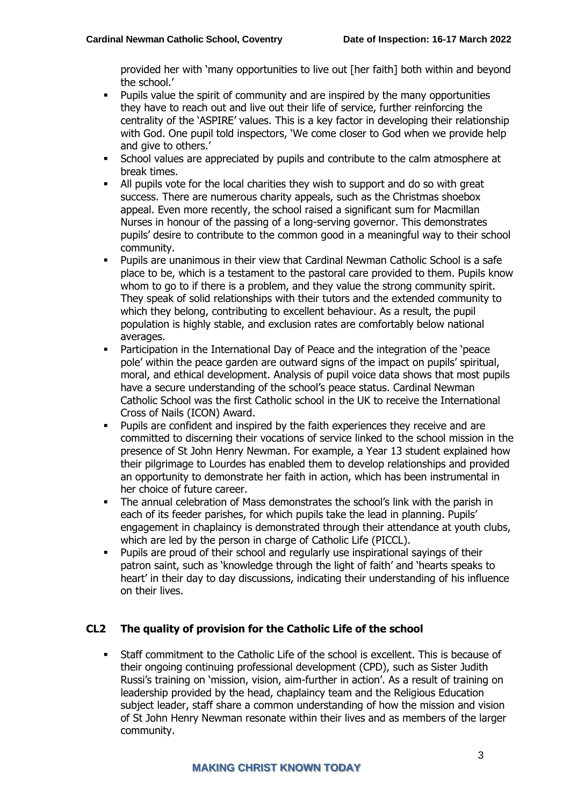provided her with 'many opportunities to live out [her faith] both within and beyond the school.'

- Pupils value the spirit of community and are inspired by the many opportunities they have to reach out and live out their life of service, further reinforcing the centrality of the 'ASPIRE' values. This is a key factor in developing their relationship with God. One pupil told inspectors, 'We come closer to God when we provide help and give to others.'
- School values are appreciated by pupils and contribute to the calm atmosphere at break times.
- All pupils vote for the local charities they wish to support and do so with great success. There are numerous charity appeals, such as the Christmas shoebox appeal. Even more recently, the school raised a significant sum for Macmillan Nurses in honour of the passing of a long-serving governor. This demonstrates pupils' desire to contribute to the common good in a meaningful way to their school community.
- Pupils are unanimous in their view that Cardinal Newman Catholic School is a safe place to be, which is a testament to the pastoral care provided to them. Pupils know whom to go to if there is a problem, and they value the strong community spirit. They speak of solid relationships with their tutors and the extended community to which they belong, contributing to excellent behaviour. As a result, the pupil population is highly stable, and exclusion rates are comfortably below national averages.
- Participation in the International Day of Peace and the integration of the 'peace pole' within the peace garden are outward signs of the impact on pupils' spiritual, moral, and ethical development. Analysis of pupil voice data shows that most pupils have a secure understanding of the school's peace status. Cardinal Newman Catholic School was the first Catholic school in the UK to receive the International Cross of Nails (ICON) Award.
- Pupils are confident and inspired by the faith experiences they receive and are committed to discerning their vocations of service linked to the school mission in the presence of St John Henry Newman. For example, a Year 13 student explained how their pilgrimage to Lourdes has enabled them to develop relationships and provided an opportunity to demonstrate her faith in action, which has been instrumental in her choice of future career.
- The annual celebration of Mass demonstrates the school's link with the parish in each of its feeder parishes, for which pupils take the lead in planning. Pupils' engagement in chaplaincy is demonstrated through their attendance at youth clubs, which are led by the person in charge of Catholic Life (PICCL).
- Pupils are proud of their school and regularly use inspirational sayings of their patron saint, such as 'knowledge through the light of faith' and 'hearts speaks to heart' in their day to day discussions, indicating their understanding of his influence on their lives.

#### **CL2 The quality of provision for the Catholic Life of the school**

Staff commitment to the Catholic Life of the school is excellent. This is because of their ongoing continuing professional development (CPD), such as Sister Judith Russi's training on 'mission, vision, aim-further in action'. As a result of training on leadership provided by the head, chaplaincy team and the Religious Education subject leader, staff share a common understanding of how the mission and vision of St John Henry Newman resonate within their lives and as members of the larger community.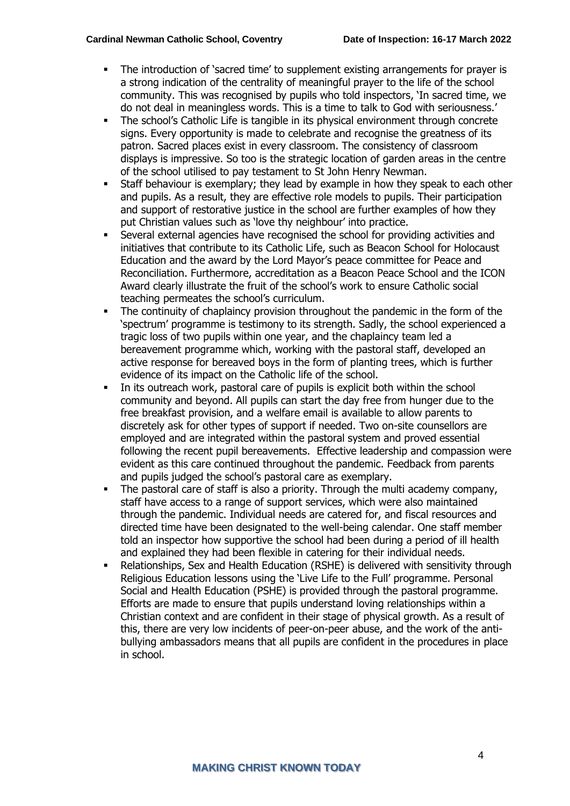- The introduction of 'sacred time' to supplement existing arrangements for prayer is a strong indication of the centrality of meaningful prayer to the life of the school community. This was recognised by pupils who told inspectors, 'In sacred time, we do not deal in meaningless words. This is a time to talk to God with seriousness.'
- The school's Catholic Life is tangible in its physical environment through concrete signs. Every opportunity is made to celebrate and recognise the greatness of its patron. Sacred places exist in every classroom. The consistency of classroom displays is impressive. So too is the strategic location of garden areas in the centre of the school utilised to pay testament to St John Henry Newman.
- Staff behaviour is exemplary; they lead by example in how they speak to each other and pupils. As a result, they are effective role models to pupils. Their participation and support of restorative justice in the school are further examples of how they put Christian values such as 'love thy neighbour' into practice.
- Several external agencies have recognised the school for providing activities and initiatives that contribute to its Catholic Life, such as Beacon School for Holocaust Education and the award by the Lord Mayor's peace committee for Peace and Reconciliation. Furthermore, accreditation as a Beacon Peace School and the ICON Award clearly illustrate the fruit of the school's work to ensure Catholic social teaching permeates the school's curriculum.
- The continuity of chaplaincy provision throughout the pandemic in the form of the 'spectrum' programme is testimony to its strength. Sadly, the school experienced a tragic loss of two pupils within one year, and the chaplaincy team led a bereavement programme which, working with the pastoral staff, developed an active response for bereaved boys in the form of planting trees, which is further evidence of its impact on the Catholic life of the school.
- In its outreach work, pastoral care of pupils is explicit both within the school community and beyond. All pupils can start the day free from hunger due to the free breakfast provision, and a welfare email is available to allow parents to discretely ask for other types of support if needed. Two on-site counsellors are employed and are integrated within the pastoral system and proved essential following the recent pupil bereavements. Effective leadership and compassion were evident as this care continued throughout the pandemic. Feedback from parents and pupils judged the school's pastoral care as exemplary.
- The pastoral care of staff is also a priority. Through the multi academy company, staff have access to a range of support services, which were also maintained through the pandemic. Individual needs are catered for, and fiscal resources and directed time have been designated to the well-being calendar. One staff member told an inspector how supportive the school had been during a period of ill health and explained they had been flexible in catering for their individual needs.
- Relationships, Sex and Health Education (RSHE) is delivered with sensitivity through Religious Education lessons using the 'Live Life to the Full' programme. Personal Social and Health Education (PSHE) is provided through the pastoral programme. Efforts are made to ensure that pupils understand loving relationships within a Christian context and are confident in their stage of physical growth. As a result of this, there are very low incidents of peer-on-peer abuse, and the work of the antibullying ambassadors means that all pupils are confident in the procedures in place in school.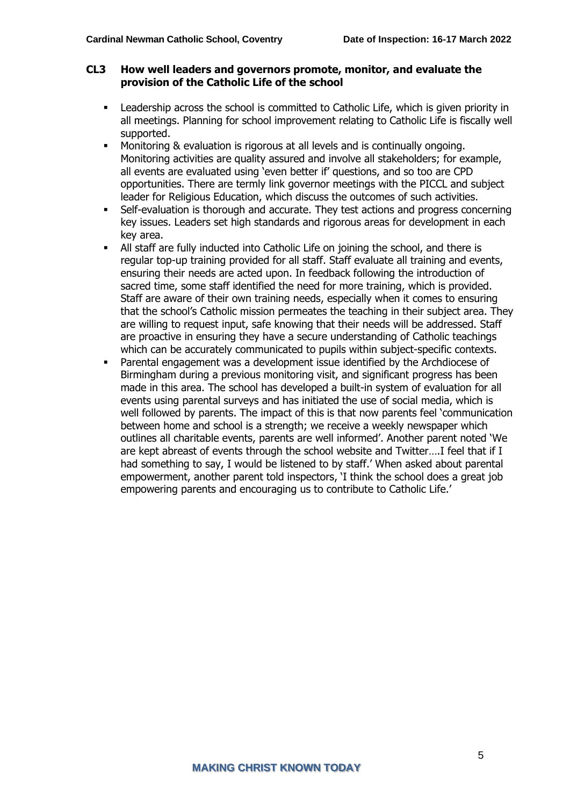#### **CL3 How well leaders and governors promote, monitor, and evaluate the provision of the Catholic Life of the school**

- **•** Leadership across the school is committed to Catholic Life, which is given priority in all meetings. Planning for school improvement relating to Catholic Life is fiscally well supported.
- Monitoring & evaluation is rigorous at all levels and is continually ongoing. Monitoring activities are quality assured and involve all stakeholders; for example, all events are evaluated using 'even better if' questions, and so too are CPD opportunities. There are termly link governor meetings with the PICCL and subject leader for Religious Education, which discuss the outcomes of such activities.
- **•** Self-evaluation is thorough and accurate. They test actions and progress concerning key issues. Leaders set high standards and rigorous areas for development in each key area.
- All staff are fully inducted into Catholic Life on joining the school, and there is regular top-up training provided for all staff. Staff evaluate all training and events, ensuring their needs are acted upon. In feedback following the introduction of sacred time, some staff identified the need for more training, which is provided. Staff are aware of their own training needs, especially when it comes to ensuring that the school's Catholic mission permeates the teaching in their subject area. They are willing to request input, safe knowing that their needs will be addressed. Staff are proactive in ensuring they have a secure understanding of Catholic teachings which can be accurately communicated to pupils within subject-specific contexts.
- Parental engagement was a development issue identified by the Archdiocese of Birmingham during a previous monitoring visit, and significant progress has been made in this area. The school has developed a built-in system of evaluation for all events using parental surveys and has initiated the use of social media, which is well followed by parents. The impact of this is that now parents feel 'communication between home and school is a strength; we receive a weekly newspaper which outlines all charitable events, parents are well informed'. Another parent noted 'We are kept abreast of events through the school website and Twitter….I feel that if I had something to say, I would be listened to by staff.' When asked about parental empowerment, another parent told inspectors, 'I think the school does a great job empowering parents and encouraging us to contribute to Catholic Life.'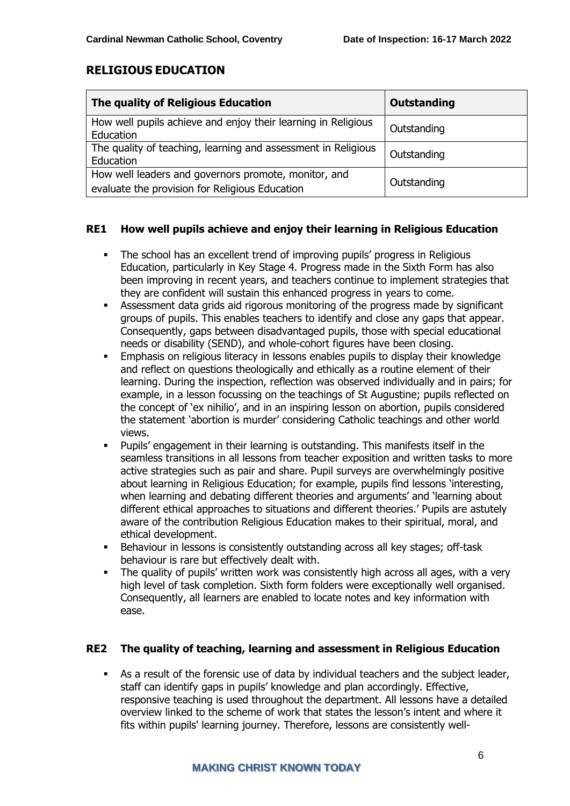#### **RELIGIOUS EDUCATION**

| The quality of Religious Education                                                                     | Outstanding |
|--------------------------------------------------------------------------------------------------------|-------------|
| How well pupils achieve and enjoy their learning in Religious<br>Education                             | Outstanding |
| The quality of teaching, learning and assessment in Religious<br>Education                             | Outstanding |
| How well leaders and governors promote, monitor, and<br>evaluate the provision for Religious Education | Outstanding |

#### **RE1 How well pupils achieve and enjoy their learning in Religious Education**

- The school has an excellent trend of improving pupils' progress in Religious Education, particularly in Key Stage 4. Progress made in the Sixth Form has also been improving in recent years, and teachers continue to implement strategies that they are confident will sustain this enhanced progress in years to come.
- Assessment data grids aid rigorous monitoring of the progress made by significant groups of pupils. This enables teachers to identify and close any gaps that appear. Consequently, gaps between disadvantaged pupils, those with special educational needs or disability (SEND), and whole-cohort figures have been closing.
- **Emphasis on religious literacy in lessons enables pupils to display their knowledge** and reflect on questions theologically and ethically as a routine element of their learning. During the inspection, reflection was observed individually and in pairs; for example, in a lesson focussing on the teachings of St Augustine; pupils reflected on the concept of 'ex nihilio', and in an inspiring lesson on abortion, pupils considered the statement 'abortion is murder' considering Catholic teachings and other world views.
- Pupils' engagement in their learning is outstanding. This manifests itself in the seamless transitions in all lessons from teacher exposition and written tasks to more active strategies such as pair and share. Pupil surveys are overwhelmingly positive about learning in Religious Education; for example, pupils find lessons 'interesting, when learning and debating different theories and arguments' and 'learning about different ethical approaches to situations and different theories.' Pupils are astutely aware of the contribution Religious Education makes to their spiritual, moral, and ethical development.
- Behaviour in lessons is consistently outstanding across all key stages; off-task behaviour is rare but effectively dealt with.
- The quality of pupils' written work was consistently high across all ages, with a very high level of task completion. Sixth form folders were exceptionally well organised. Consequently, all learners are enabled to locate notes and key information with ease.

#### **RE2 The quality of teaching, learning and assessment in Religious Education**

As a result of the forensic use of data by individual teachers and the subject leader, staff can identify gaps in pupils' knowledge and plan accordingly. Effective, responsive teaching is used throughout the department. All lessons have a detailed overview linked to the scheme of work that states the lesson's intent and where it fits within pupils' learning journey. Therefore, lessons are consistently well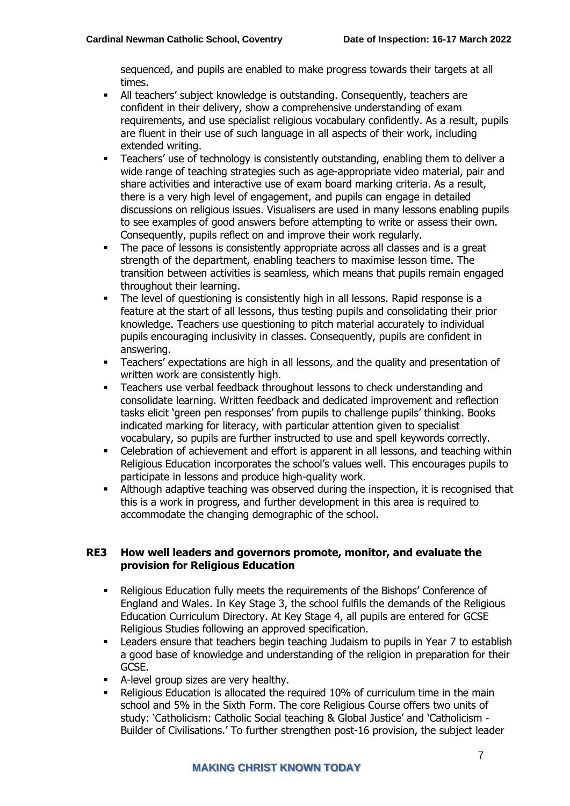sequenced, and pupils are enabled to make progress towards their targets at all times.

- All teachers' subject knowledge is outstanding. Consequently, teachers are confident in their delivery, show a comprehensive understanding of exam requirements, and use specialist religious vocabulary confidently. As a result, pupils are fluent in their use of such language in all aspects of their work, including extended writing.
- Teachers' use of technology is consistently outstanding, enabling them to deliver a wide range of teaching strategies such as age-appropriate video material, pair and share activities and interactive use of exam board marking criteria. As a result, there is a very high level of engagement, and pupils can engage in detailed discussions on religious issues. Visualisers are used in many lessons enabling pupils to see examples of good answers before attempting to write or assess their own. Consequently, pupils reflect on and improve their work regularly.
- The pace of lessons is consistently appropriate across all classes and is a great strength of the department, enabling teachers to maximise lesson time. The transition between activities is seamless, which means that pupils remain engaged throughout their learning.
- The level of questioning is consistently high in all lessons. Rapid response is a feature at the start of all lessons, thus testing pupils and consolidating their prior knowledge. Teachers use questioning to pitch material accurately to individual pupils encouraging inclusivity in classes. Consequently, pupils are confident in answering.
- Teachers' expectations are high in all lessons, and the quality and presentation of written work are consistently high.
- Teachers use verbal feedback throughout lessons to check understanding and consolidate learning. Written feedback and dedicated improvement and reflection tasks elicit 'green pen responses' from pupils to challenge pupils' thinking. Books indicated marking for literacy, with particular attention given to specialist vocabulary, so pupils are further instructed to use and spell keywords correctly.
- Celebration of achievement and effort is apparent in all lessons, and teaching within Religious Education incorporates the school's values well. This encourages pupils to participate in lessons and produce high-quality work.
- **■** Although adaptive teaching was observed during the inspection, it is recognised that this is a work in progress, and further development in this area is required to accommodate the changing demographic of the school.

#### **RE3 How well leaders and governors promote, monitor, and evaluate the provision for Religious Education**

- Religious Education fully meets the requirements of the Bishops' Conference of England and Wales. In Key Stage 3, the school fulfils the demands of the Religious Education Curriculum Directory. At Key Stage 4, all pupils are entered for GCSE Religious Studies following an approved specification.
- **EXECTED FIGHTS ENSURY THE LEADER IS CONTEX THE TEACH IS CONTEX THAT IS EXECUTED** Leaders ensure that teachers begin teaching Judaism to pupils in Year 7 to establish a good base of knowledge and understanding of the religion in preparation for their GCSE.
- A-level group sizes are very healthy.
- Religious Education is allocated the required 10% of curriculum time in the main school and 5% in the Sixth Form. The core Religious Course offers two units of study: 'Catholicism: Catholic Social teaching & Global Justice' and 'Catholicism - Builder of Civilisations.' To further strengthen post-16 provision, the subject leader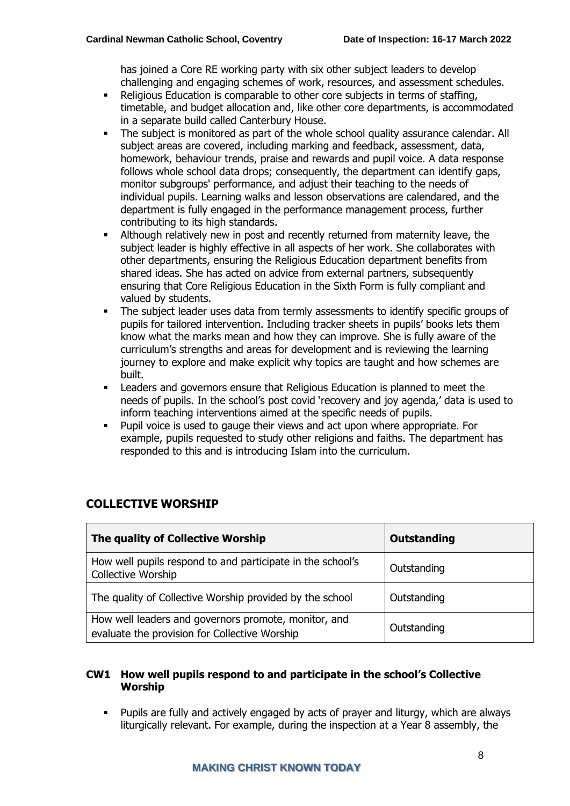has joined a Core RE working party with six other subject leaders to develop challenging and engaging schemes of work, resources, and assessment schedules.

- Religious Education is comparable to other core subjects in terms of staffing, timetable, and budget allocation and, like other core departments, is accommodated in a separate build called Canterbury House.
- **•** The subject is monitored as part of the whole school quality assurance calendar. All subject areas are covered, including marking and feedback, assessment, data, homework, behaviour trends, praise and rewards and pupil voice. A data response follows whole school data drops; consequently, the department can identify gaps, monitor subgroups' performance, and adjust their teaching to the needs of individual pupils. Learning walks and lesson observations are calendared, and the department is fully engaged in the performance management process, further contributing to its high standards.
- Although relatively new in post and recently returned from maternity leave, the subject leader is highly effective in all aspects of her work. She collaborates with other departments, ensuring the Religious Education department benefits from shared ideas. She has acted on advice from external partners, subsequently ensuring that Core Religious Education in the Sixth Form is fully compliant and valued by students.
- The subject leader uses data from termly assessments to identify specific groups of pupils for tailored intervention. Including tracker sheets in pupils' books lets them know what the marks mean and how they can improve. She is fully aware of the curriculum's strengths and areas for development and is reviewing the learning journey to explore and make explicit why topics are taught and how schemes are built.
- Leaders and governors ensure that Religious Education is planned to meet the needs of pupils. In the school's post covid 'recovery and joy agenda,' data is used to inform teaching interventions aimed at the specific needs of pupils.
- Pupil voice is used to gauge their views and act upon where appropriate. For example, pupils requested to study other religions and faiths. The department has responded to this and is introducing Islam into the curriculum.

| The quality of Collective Worship                                                                     | <b>Outstanding</b> |
|-------------------------------------------------------------------------------------------------------|--------------------|
| How well pupils respond to and participate in the school's<br>Collective Worship                      | Outstanding        |
| The quality of Collective Worship provided by the school                                              | Outstanding        |
| How well leaders and governors promote, monitor, and<br>evaluate the provision for Collective Worship | Outstanding        |

## **COLLECTIVE WORSHIP**

#### **CW1 How well pupils respond to and participate in the school's Collective Worship**

Pupils are fully and actively engaged by acts of prayer and liturgy, which are always liturgically relevant. For example, during the inspection at a Year 8 assembly, the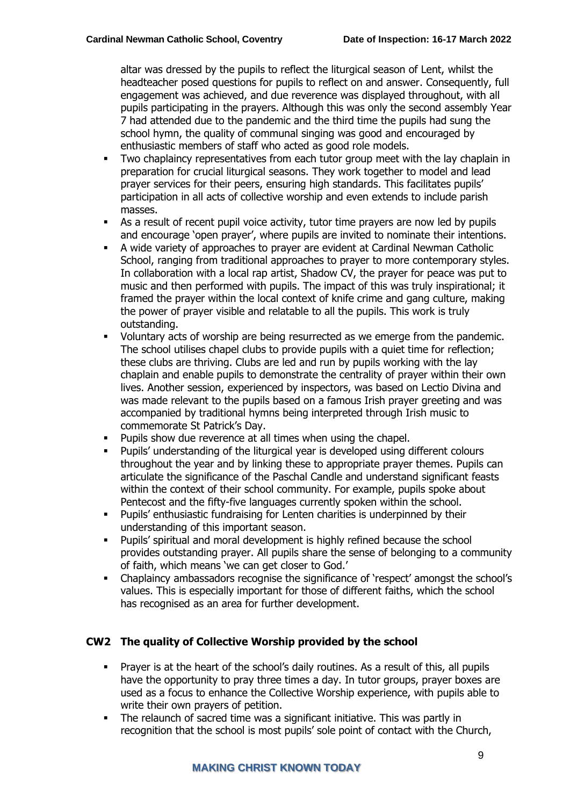altar was dressed by the pupils to reflect the liturgical season of Lent, whilst the headteacher posed questions for pupils to reflect on and answer. Consequently, full engagement was achieved, and due reverence was displayed throughout, with all pupils participating in the prayers. Although this was only the second assembly Year 7 had attended due to the pandemic and the third time the pupils had sung the school hymn, the quality of communal singing was good and encouraged by enthusiastic members of staff who acted as good role models.

- Two chaplaincy representatives from each tutor group meet with the lay chaplain in preparation for crucial liturgical seasons. They work together to model and lead prayer services for their peers, ensuring high standards. This facilitates pupils' participation in all acts of collective worship and even extends to include parish masses.
- As a result of recent pupil voice activity, tutor time prayers are now led by pupils and encourage 'open prayer', where pupils are invited to nominate their intentions.
- A wide variety of approaches to prayer are evident at Cardinal Newman Catholic School, ranging from traditional approaches to prayer to more contemporary styles. In collaboration with a local rap artist, Shadow CV, the prayer for peace was put to music and then performed with pupils. The impact of this was truly inspirational; it framed the prayer within the local context of knife crime and gang culture, making the power of prayer visible and relatable to all the pupils. This work is truly outstanding.
- Voluntary acts of worship are being resurrected as we emerge from the pandemic. The school utilises chapel clubs to provide pupils with a quiet time for reflection; these clubs are thriving. Clubs are led and run by pupils working with the lay chaplain and enable pupils to demonstrate the centrality of prayer within their own lives. Another session, experienced by inspectors, was based on Lectio Divina and was made relevant to the pupils based on a famous Irish prayer greeting and was accompanied by traditional hymns being interpreted through Irish music to commemorate St Patrick's Day.
- Pupils show due reverence at all times when using the chapel.
- Pupils' understanding of the liturgical year is developed using different colours throughout the year and by linking these to appropriate prayer themes. Pupils can articulate the significance of the Paschal Candle and understand significant feasts within the context of their school community. For example, pupils spoke about Pentecost and the fifty-five languages currently spoken within the school.
- Pupils' enthusiastic fundraising for Lenten charities is underpinned by their understanding of this important season.
- Pupils' spiritual and moral development is highly refined because the school provides outstanding prayer. All pupils share the sense of belonging to a community of faith, which means 'we can get closer to God.'
- Chaplaincy ambassadors recognise the significance of 'respect' amongst the school's values. This is especially important for those of different faiths, which the school has recognised as an area for further development.

#### **CW2 The quality of Collective Worship provided by the school**

- **•** Prayer is at the heart of the school's daily routines. As a result of this, all pupils have the opportunity to pray three times a day. In tutor groups, prayer boxes are used as a focus to enhance the Collective Worship experience, with pupils able to write their own prayers of petition.
- The relaunch of sacred time was a significant initiative. This was partly in recognition that the school is most pupils' sole point of contact with the Church,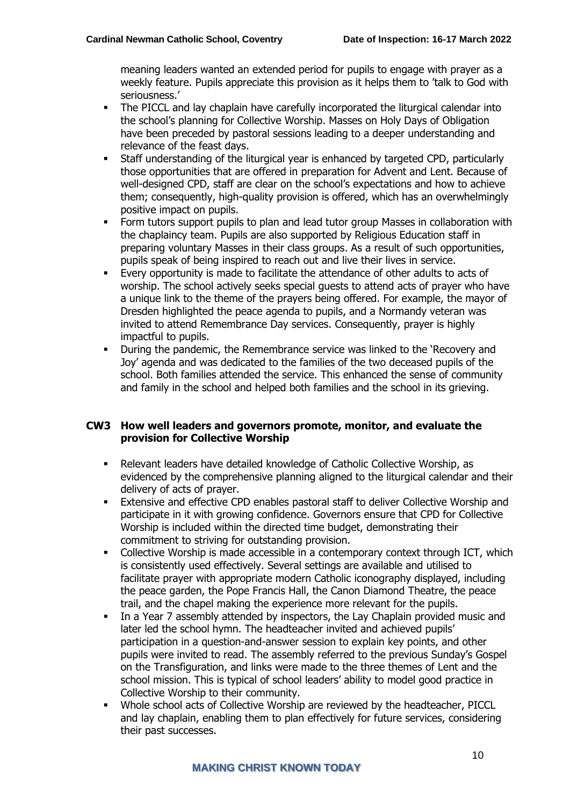meaning leaders wanted an extended period for pupils to engage with prayer as a weekly feature. Pupils appreciate this provision as it helps them to 'talk to God with seriousness.'

- **•** The PICCL and lay chaplain have carefully incorporated the liturgical calendar into the school's planning for Collective Worship. Masses on Holy Days of Obligation have been preceded by pastoral sessions leading to a deeper understanding and relevance of the feast days.
- Staff understanding of the liturgical year is enhanced by targeted CPD, particularly those opportunities that are offered in preparation for Advent and Lent. Because of well-designed CPD, staff are clear on the school's expectations and how to achieve them; consequently, high-quality provision is offered, which has an overwhelmingly positive impact on pupils.
- Form tutors support pupils to plan and lead tutor group Masses in collaboration with the chaplaincy team. Pupils are also supported by Religious Education staff in preparing voluntary Masses in their class groups. As a result of such opportunities, pupils speak of being inspired to reach out and live their lives in service.
- Every opportunity is made to facilitate the attendance of other adults to acts of worship. The school actively seeks special guests to attend acts of prayer who have a unique link to the theme of the prayers being offered. For example, the mayor of Dresden highlighted the peace agenda to pupils, and a Normandy veteran was invited to attend Remembrance Day services. Consequently, prayer is highly impactful to pupils.
- During the pandemic, the Remembrance service was linked to the 'Recovery and Joy' agenda and was dedicated to the families of the two deceased pupils of the school. Both families attended the service. This enhanced the sense of community and family in the school and helped both families and the school in its grieving.

#### **CW3 How well leaders and governors promote, monitor, and evaluate the provision for Collective Worship**

- Relevant leaders have detailed knowledge of Catholic Collective Worship, as evidenced by the comprehensive planning aligned to the liturgical calendar and their delivery of acts of prayer.
- **Extensive and effective CPD enables pastoral staff to deliver Collective Worship and** participate in it with growing confidence. Governors ensure that CPD for Collective Worship is included within the directed time budget, demonstrating their commitment to striving for outstanding provision.
- Collective Worship is made accessible in a contemporary context through ICT, which is consistently used effectively. Several settings are available and utilised to facilitate prayer with appropriate modern Catholic iconography displayed, including the peace garden, the Pope Francis Hall, the Canon Diamond Theatre, the peace trail, and the chapel making the experience more relevant for the pupils.
- In a Year 7 assembly attended by inspectors, the Lay Chaplain provided music and later led the school hymn. The headteacher invited and achieved pupils' participation in a question-and-answer session to explain key points, and other pupils were invited to read. The assembly referred to the previous Sunday's Gospel on the Transfiguration, and links were made to the three themes of Lent and the school mission. This is typical of school leaders' ability to model good practice in Collective Worship to their community.
- Whole school acts of Collective Worship are reviewed by the headteacher, PICCL and lay chaplain, enabling them to plan effectively for future services, considering their past successes.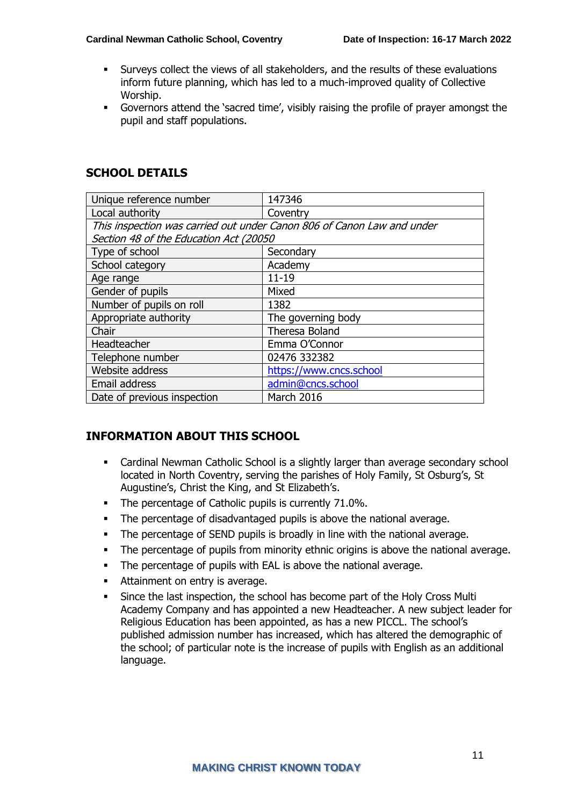- Surveys collect the views of all stakeholders, and the results of these evaluations inform future planning, which has led to a much-improved quality of Collective Worship.
- Governors attend the 'sacred time', visibly raising the profile of prayer amongst the pupil and staff populations.

| <b>SCHOOL DETAILS</b> |  |
|-----------------------|--|
|-----------------------|--|

| Unique reference number                                                | 147346                  |  |
|------------------------------------------------------------------------|-------------------------|--|
| Local authority                                                        | Coventry                |  |
| This inspection was carried out under Canon 806 of Canon Law and under |                         |  |
| Section 48 of the Education Act (20050                                 |                         |  |
| Type of school                                                         | Secondary               |  |
| School category                                                        | Academy                 |  |
| Age range                                                              | $11 - 19$               |  |
| Gender of pupils                                                       | Mixed                   |  |
| Number of pupils on roll                                               | 1382                    |  |
| Appropriate authority                                                  | The governing body      |  |
| Chair                                                                  | Theresa Boland          |  |
| Headteacher                                                            | Emma O'Connor           |  |
| Telephone number                                                       | 02476 332382            |  |
| Website address                                                        | https://www.cncs.school |  |
| Email address                                                          | admin@cncs.school       |  |
| Date of previous inspection                                            | March 2016              |  |

#### **INFORMATION ABOUT THIS SCHOOL**

- Cardinal Newman Catholic School is a slightly larger than average secondary school located in North Coventry, serving the parishes of Holy Family, St Osburg's, St Augustine's, Christ the King, and St Elizabeth's.
- The percentage of Catholic pupils is currently 71.0%.
- The percentage of disadvantaged pupils is above the national average.
- The percentage of SEND pupils is broadly in line with the national average.
- The percentage of pupils from minority ethnic origins is above the national average.
- The percentage of pupils with EAL is above the national average.
- Attainment on entry is average.
- Since the last inspection, the school has become part of the Holy Cross Multi Academy Company and has appointed a new Headteacher. A new subject leader for Religious Education has been appointed, as has a new PICCL. The school's published admission number has increased, which has altered the demographic of the school; of particular note is the increase of pupils with English as an additional language.